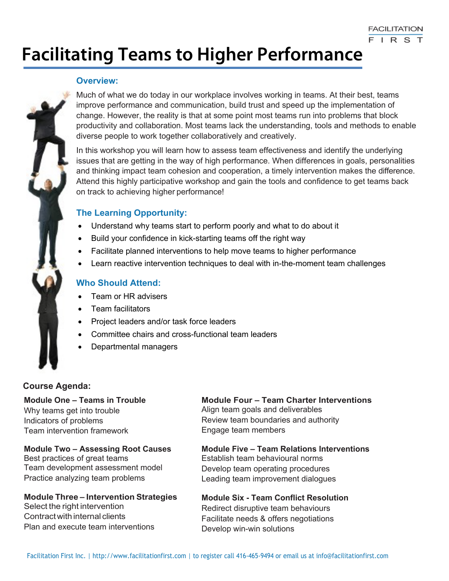# **Facilitating Teams to Higher Performance**

# **Overview:**

Much of what we do today in our workplace involves working in teams. At their best, teams improve performance and communication, build trust and speed up the implementation of change. However, the reality is that at some point most teams run into problems that block productivity and collaboration. Most teams lack the understanding, tools and methods to enable diverse people to work together collaboratively and creatively.

In this workshop you will learn how to assess team effectiveness and identify the underlying issues that are getting in the way of high performance. When differences in goals, personalities and thinking impact team cohesion and cooperation, a timely intervention makes the difference. Attend this highly participative workshop and gain the tools and confidence to get teams back on track to achieving higher performance!

# **The Learning Opportunity:**

- Understand why teams start to perform poorly and what to do about it
- Build your confidence in kick-starting teams off the right way
- Facilitate planned interventions to help move teams to higher performance
- Learn reactive intervention techniques to deal with in-the-moment team challenges

# **Who Should Attend:**

- Team or HR advisers
- Team facilitators
- Project leaders and/or task force leaders
- Committee chairs and cross-functional team leaders
- Departmental managers

# **Course Agenda:**

**Module One – Teams in Trouble**  Why teams get into trouble Indicators of problems Team intervention framework

**Module Two – Assessing Root Causes** Best practices of great teams Team development assessment model Practice analyzing team problems

#### **Module Three – Intervention Strategies** Select the right intervention

Contract with internal clients Plan and execute team interventions **Module Four – Team Charter Interventions** Align team goals and deliverables Review team boundaries and authority Engage team members

**Module Five – Team Relations Interventions** Establish team behavioural norms Develop team operating procedures Leading team improvement dialogues

**Module Six - Team Conflict Resolution**  Redirect disruptive team behaviours Facilitate needs & offers negotiations Develop win-win solutions